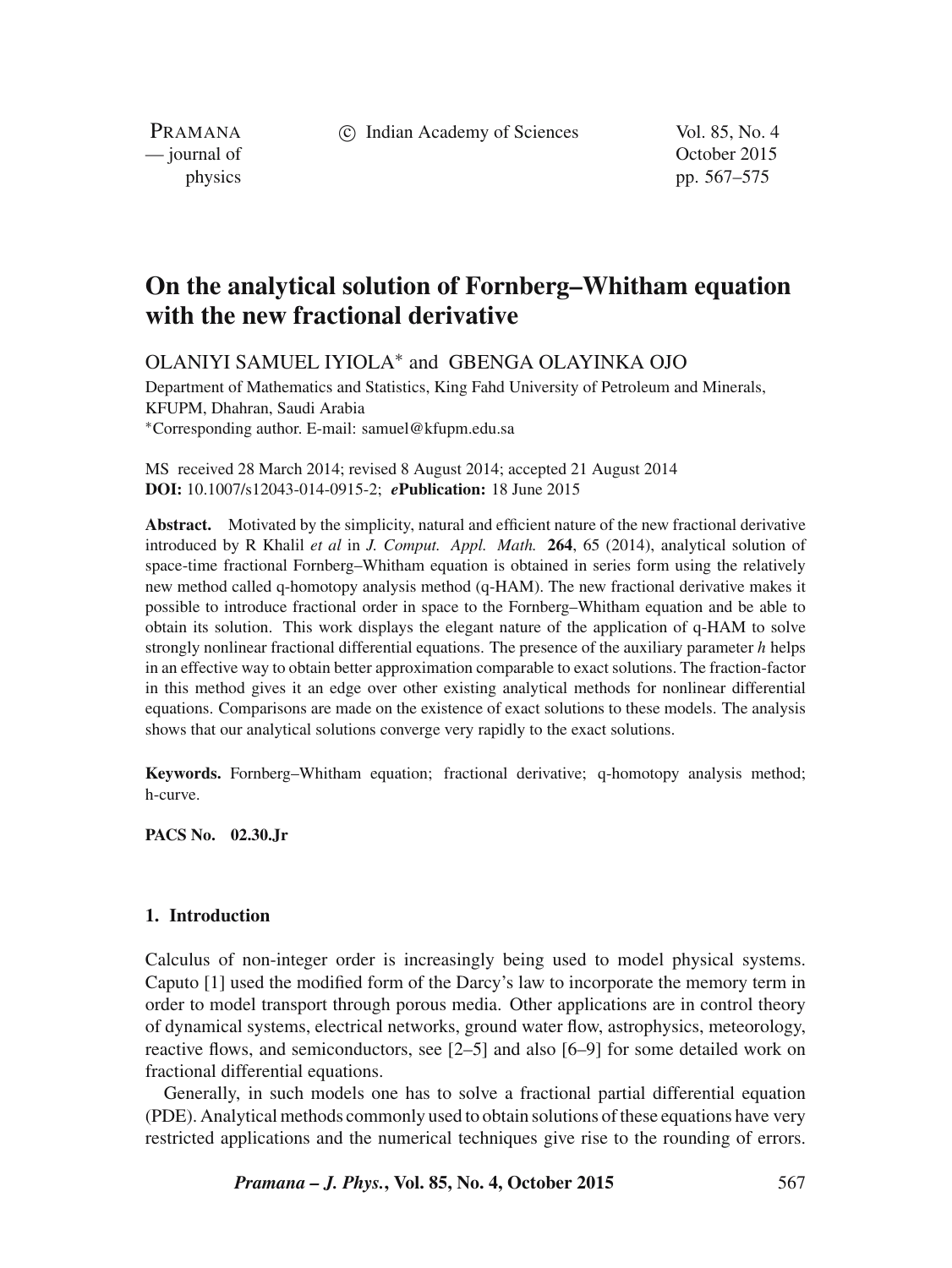c Indian Academy of Sciences Vol. 85, No. 4

PRAMANA

— journal of Contract of Contract of Contract of Contract of Contract of Contract of Contract of Contract of Contract of Contract of Contract of Contract of Contract of Contract of Contract of Contract of Contract of Contr physics pp. 567–575

# **On the analytical solution of Fornberg–Whitham equation with the new fractional derivative**

OLANIYI SAMUEL IYIOLA<sup>∗</sup> and GBENGA OLAYINKA OJO

Department of Mathematics and Statistics, King Fahd University of Petroleum and Minerals, KFUPM, Dhahran, Saudi Arabia <sup>∗</sup>Corresponding author. E-mail: samuel@kfupm.edu.sa

MS received 28 March 2014; revised 8 August 2014; accepted 21 August 2014 **DOI:** 10.1007/s12043-014-0915-2; *e***Publication:** 18 June 2015

**Abstract.** Motivated by the simplicity, natural and efficient nature of the new fractional derivative introduced by R Khalil *et al* in *J. Comput. Appl. Math.* **264**, 65 (2014), analytical solution of space-time fractional Fornberg–Whitham equation is obtained in series form using the relatively new method called q-homotopy analysis method (q-HAM). The new fractional derivative makes it possible to introduce fractional order in space to the Fornberg–Whitham equation and be able to obtain its solution. This work displays the elegant nature of the application of q-HAM to solve strongly nonlinear fractional differential equations. The presence of the auxiliary parameter  $h$  helps in an effective way to obtain better approximation comparable to exact solutions. The fraction-factor in this method gives it an edge over other existing analytical methods for nonlinear differential equations. Comparisons are made on the existence of exact solutions to these models. The analysis shows that our analytical solutions converge very rapidly to the exact solutions.

**Keywords.** Fornberg–Whitham equation; fractional derivative; q-homotopy analysis method; h-curve.

**PACS No. 02.30.Jr**

# **1. Introduction**

Calculus of non-integer order is increasingly being used to model physical systems. Caputo [1] used the modified form of the Darcy's law to incorporate the memory term in order to model transport through porous media. Other applications are in control theory of dynamical systems, electrical networks, ground water flow, astrophysics, meteorology, reactive flows, and semiconductors, see [2–5] and also [6–9] for some detailed work on fractional differential equations.

Generally, in such models one has to solve a fractional partial differential equation (PDE). Analytical methods commonly used to obtain solutions of these equations have very restricted applications and the numerical techniques give rise to the rounding of errors.

*Pramana – J. Phys.***, Vol. 85, No. 4, October 2015** 567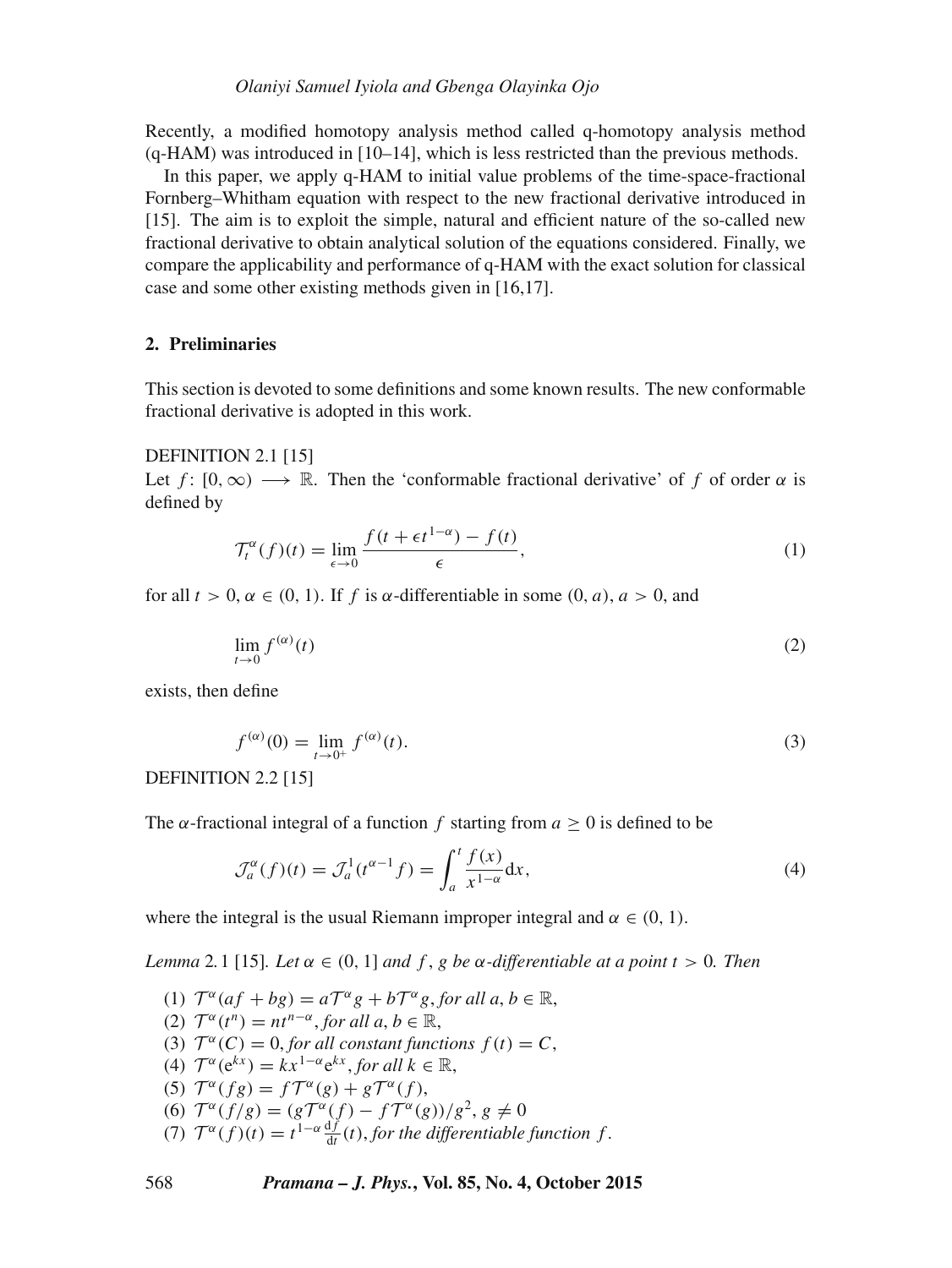Recently, a modified homotopy analysis method called q-homotopy analysis method (q-HAM) was introduced in [10–14], which is less restricted than the previous methods.

In this paper, we apply q-HAM to initial value problems of the time-space-fractional Fornberg–Whitham equation with respect to the new fractional derivative introduced in [15]. The aim is to exploit the simple, natural and efficient nature of the so-called new fractional derivative to obtain analytical solution of the equations considered. Finally, we compare the applicability and performance of q-HAM with the exact solution for classical case and some other existing methods given in [16,17].

## **2. Preliminaries**

This section is devoted to some definitions and some known results. The new conformable fractional derivative is adopted in this work.

#### DEFINITION 2.1 [15]

Let f:  $[0, \infty) \longrightarrow \mathbb{R}$ . Then the 'conformable fractional derivative' of f of order  $\alpha$  is defined by

$$
\mathcal{T}_t^{\alpha}(f)(t) = \lim_{\epsilon \to 0} \frac{f(t + \epsilon t^{1-\alpha}) - f(t)}{\epsilon},\tag{1}
$$

for all  $t > 0$ ,  $\alpha \in (0, 1)$ . If f is  $\alpha$ -differentiable in some  $(0, a)$ ,  $a > 0$ , and

$$
\lim_{t \to 0} f^{(\alpha)}(t) \tag{2}
$$

exists, then define

$$
f^{(\alpha)}(0) = \lim_{t \to 0^+} f^{(\alpha)}(t). \tag{3}
$$

DEFINITION 2.2 [15]

The  $\alpha$ -fractional integral of a function f starting from  $a > 0$  is defined to be

$$
\mathcal{J}_a^{\alpha}(f)(t) = \mathcal{J}_a^1(t^{\alpha - 1}f) = \int_a^t \frac{f(x)}{x^{1 - \alpha}} dx,
$$
\n(4)

where the integral is the usual Riemann improper integral and  $\alpha \in (0, 1)$ .

*Lemma* 2.1 [15]*. Let*  $\alpha \in (0, 1]$  *and*  $f$ ,  $g$  *be*  $\alpha$ *-differentiable at*  $a$  *point*  $t > 0$ *. Then* 

(1)  $T^{\alpha}(af+bg) = aT^{\alpha}g + bT^{\alpha}g$ , for all  $a, b \in \mathbb{R}$ , (2)  $T^{\alpha}(t^n) = nt^{n-\alpha}$ , for all  $a, b \in \mathbb{R}$ , (3)  $\mathcal{T}^{\alpha}(C) = 0$ , for all constant functions  $f(t) = C$ , (4)  $\mathcal{T}^{\alpha}(\mathbf{e}^{kx}) = kx^{1-\alpha} \mathbf{e}^{kx}$ , for all  $k \in \mathbb{R}$ , (5)  $\mathcal{T}^{\alpha}(fg) = f\mathcal{T}^{\alpha}(g) + g\mathcal{T}^{\alpha}(f),$ (6)  $T^{\alpha}(f/g) = (gT^{\alpha}(f) - fT^{\alpha}(g))/g^{2}, g \neq 0$ (7)  $T^{\alpha}(f)(t) = t^{1-\alpha} \frac{df}{dt}(t)$ , *for the differentiable function f*.

#### 568 *Pramana – J. Phys.***, Vol. 85, No. 4, October 2015**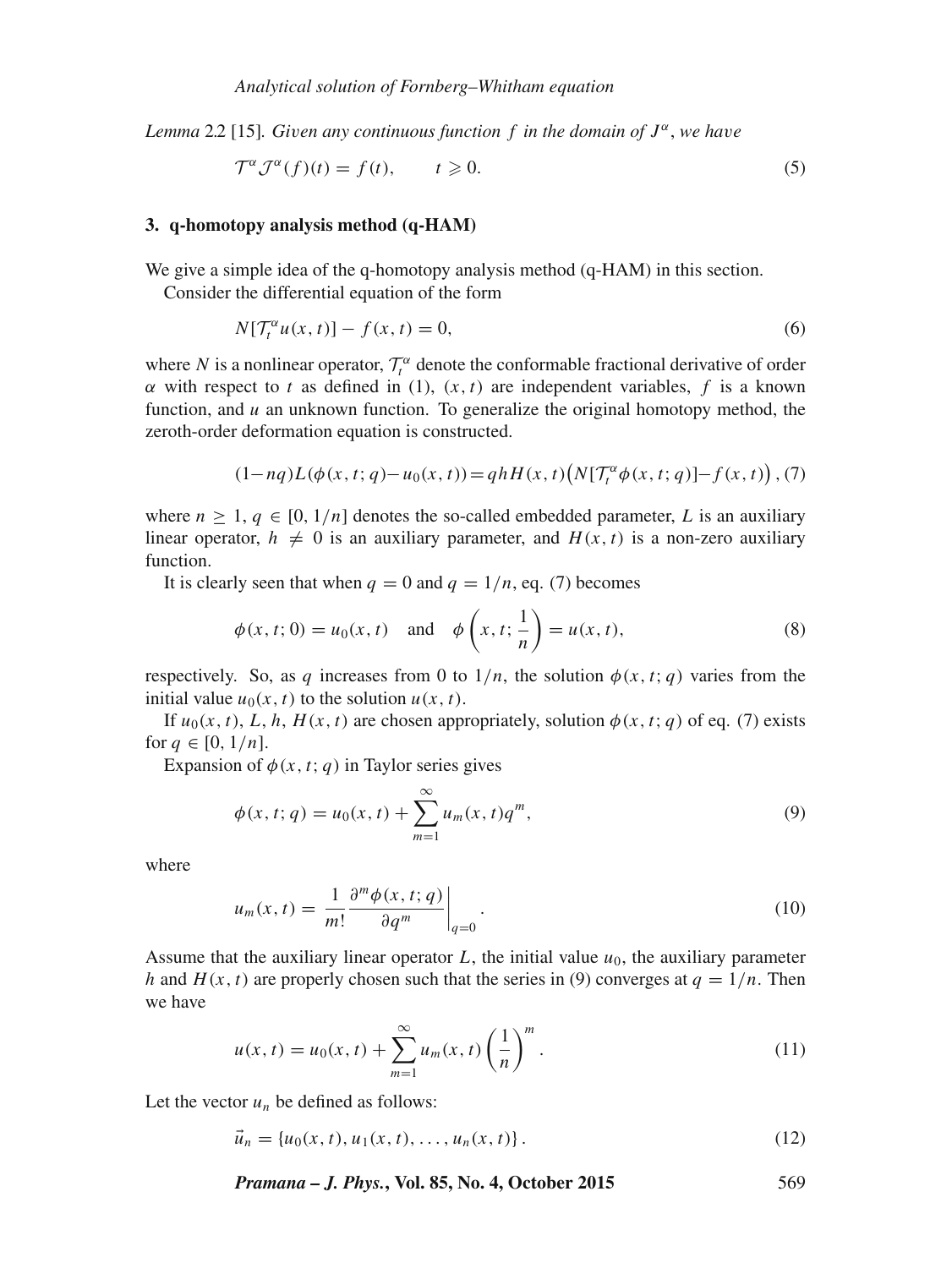*Lemma* 2*.*2 [15]*. Gi*v*en any continuous function* f *in the domain of* J α , *we ha*v*e*

$$
\mathcal{T}^{\alpha} \mathcal{J}^{\alpha}(f)(t) = f(t), \qquad t \geqslant 0. \tag{5}
$$

## **3. q-homotopy analysis method (q-HAM)**

We give a simple idea of the q-homotopy analysis method (q-HAM) in this section.

Consider the differential equation of the form

$$
N[\mathcal{T}_t^{\alpha}u(x,t)] - f(x,t) = 0,\tag{6}
$$

where N is a nonlinear operator,  $\mathcal{T}_t^{\alpha}$  denote the conformable fractional derivative of order  $\alpha$  with respect to t as defined in (1),  $(x, t)$  are independent variables, f is a known function, and  $u$  an unknown function. To generalize the original homotopy method, the zeroth-order deformation equation is constructed.

$$
(1-nq)L(\phi(x, t; q)-u_0(x, t)) = qhH(x, t)\big(N[\mathcal{T}_t^{\alpha}\phi(x, t; q)] - f(x, t)\big), (7)
$$

where  $n \geq 1$ ,  $q \in [0, 1/n]$  denotes the so-called embedded parameter, L is an auxiliary linear operator,  $h \neq 0$  is an auxiliary parameter, and  $H(x, t)$  is a non-zero auxiliary function.

It is clearly seen that when  $q = 0$  and  $q = 1/n$ , eq. (7) becomes

$$
\phi(x, t; 0) = u_0(x, t)
$$
 and  $\phi\left(x, t; \frac{1}{n}\right) = u(x, t),$  (8)

respectively. So, as q increases from 0 to  $1/n$ , the solution  $\phi(x, t; q)$  varies from the initial value  $u_0(x, t)$  to the solution  $u(x, t)$ .

If  $u_0(x, t)$ , L, h,  $H(x, t)$  are chosen appropriately, solution  $\phi(x, t; q)$  of eq. (7) exists for  $q \in [0, 1/n]$ .

Expansion of  $\phi(x, t; q)$  in Taylor series gives

$$
\phi(x, t; q) = u_0(x, t) + \sum_{m=1}^{\infty} u_m(x, t) q^m,
$$
\n(9)

where

$$
u_m(x,t) = \frac{1}{m!} \frac{\partial^m \phi(x,t;q)}{\partial q^m} \bigg|_{q=0}.
$$
 (10)

Assume that the auxiliary linear operator L, the initial value  $u_0$ , the auxiliary parameter h and  $H(x, t)$  are properly chosen such that the series in (9) converges at  $q = 1/n$ . Then we have

$$
u(x,t) = u_0(x,t) + \sum_{m=1}^{\infty} u_m(x,t) \left(\frac{1}{n}\right)^m.
$$
 (11)

Let the vector  $u_n$  be defined as follows:

$$
\vec{u}_n = \{u_0(x, t), u_1(x, t), \dots, u_n(x, t)\}.
$$
\n(12)

*Pramana – J. Phys.***, Vol. 85, No. 4, October 2015** 569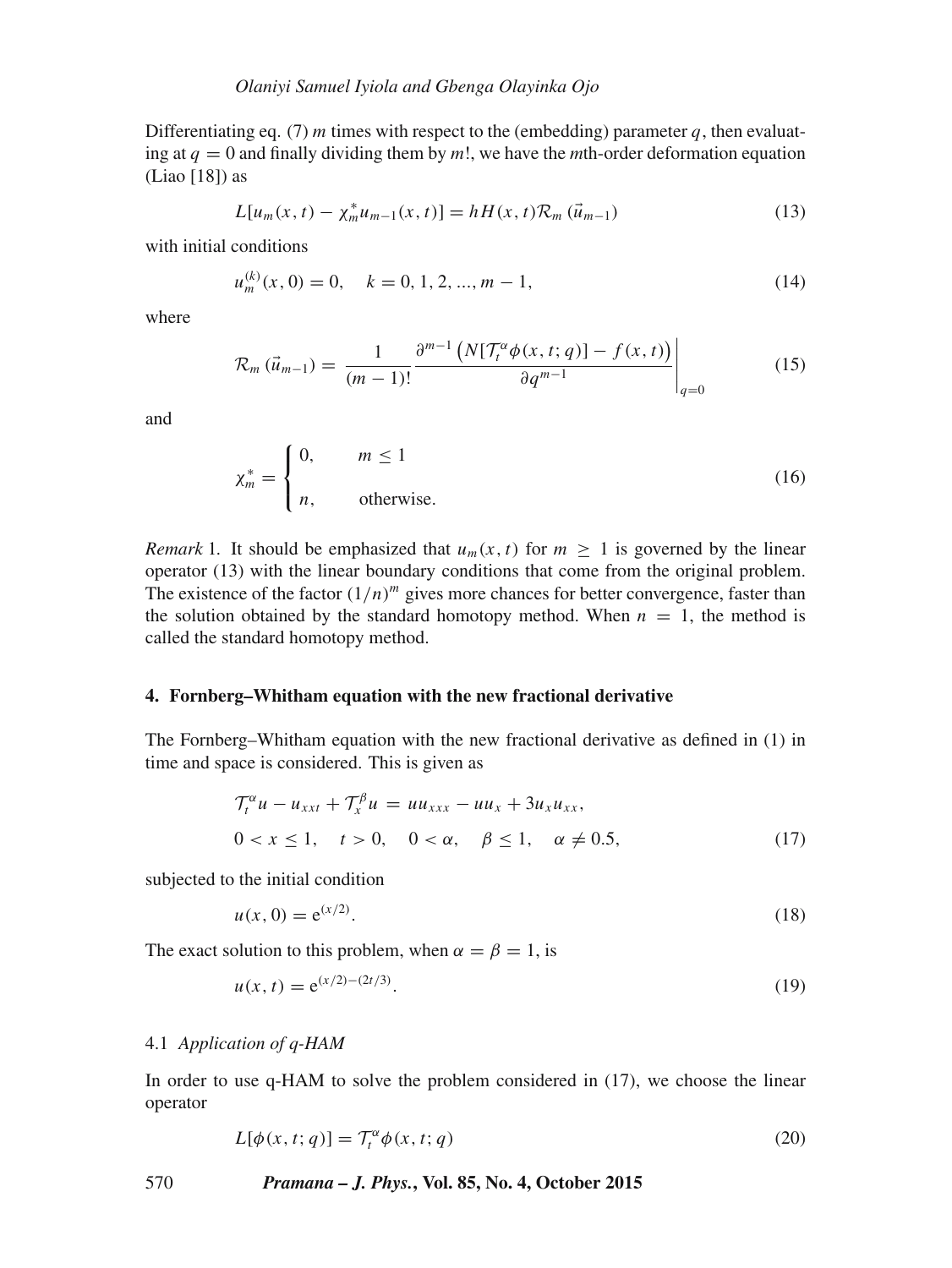Differentiating eq. (7) m times with respect to the (embedding) parameter q, then evaluating at  $q = 0$  and finally dividing them by m!, we have the *m*th-order deformation equation (Liao [18]) as

$$
L[u_m(x, t) - \chi_m^* u_{m-1}(x, t)] = hH(x, t)\mathcal{R}_m(\vec{u}_{m-1})
$$
\n(13)

with initial conditions

$$
u_m^{(k)}(x,0) = 0, \quad k = 0, 1, 2, ..., m - 1,
$$
\n(14)

where

$$
\mathcal{R}_m\left(\vec{u}_{m-1}\right) = \left. \frac{1}{(m-1)!} \frac{\partial^{m-1}\left(N[\mathcal{T}_t^{\alpha}\phi(x,t;q)] - f(x,t)\right)}{\partial q^{m-1}} \right|_{q=0} \tag{15}
$$

and

$$
\chi_m^* = \begin{cases} 0, & m \le 1 \\ n, & \text{otherwise.} \end{cases}
$$
 (16)

*Remark* 1. It should be emphasized that  $u_m(x, t)$  for  $m \ge 1$  is governed by the linear operator (13) with the linear boundary conditions that come from the original problem. The existence of the factor  $(1/n)^m$  gives more chances for better convergence, faster than the solution obtained by the standard homotopy method. When  $n = 1$ , the method is called the standard homotopy method.

#### **4. Fornberg–Whitham equation with the new fractional derivative**

The Fornberg–Whitham equation with the new fractional derivative as defined in (1) in time and space is considered. This is given as

$$
\begin{aligned} \mathcal{T}_t^{\alpha} u - u_{xxt} + \mathcal{T}_x^{\beta} u &= u u_{xxx} - u u_x + 3 u_x u_{xx}, \\ 0 &< x \le 1, \quad t > 0, \quad 0 < \alpha, \quad \beta \le 1, \quad \alpha \ne 0.5, \end{aligned} \tag{17}
$$

subjected to the initial condition

$$
u(x,0) = e^{(x/2)}.
$$
 (18)

The exact solution to this problem, when  $\alpha = \beta = 1$ , is

$$
u(x,t) = e^{(x/2)-(2t/3)}.
$$
\n(19)

#### 4.1 *Application of q-HAM*

In order to use q-HAM to solve the problem considered in (17), we choose the linear operator

$$
L[\phi(x, t; q)] = \mathcal{T}_t^{\alpha} \phi(x, t; q)
$$
\n(20)

570 *Pramana – J. Phys.***, Vol. 85, No. 4, October 2015**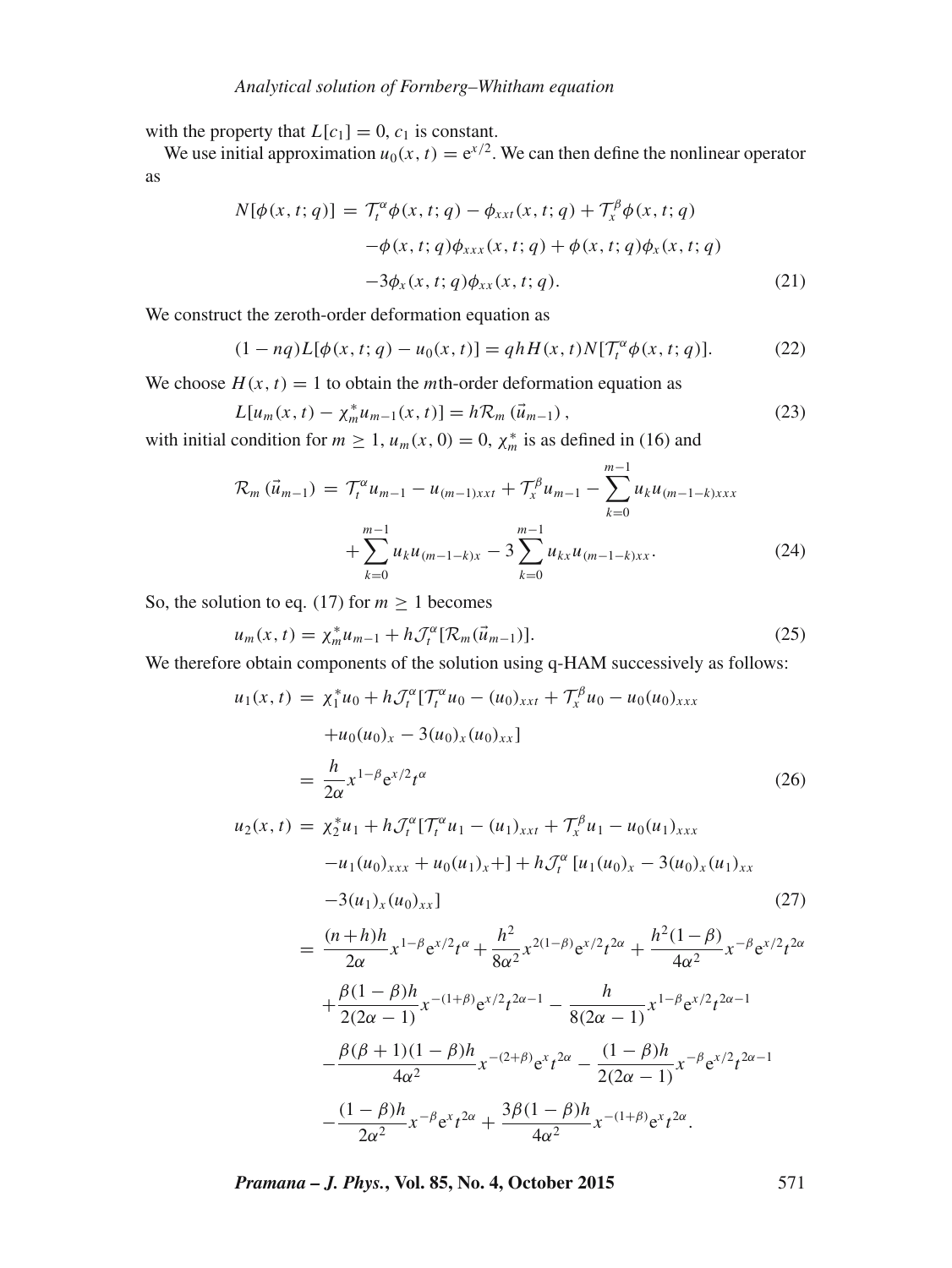with the property that  $L[c_1] = 0$ ,  $c_1$  is constant.

We use initial approximation  $u_0(x, t) = e^{x/2}$ . We can then define the nonlinear operator as

$$
N[\phi(x, t; q)] = \mathcal{T}_t^{\alpha} \phi(x, t; q) - \phi_{xxt}(x, t; q) + \mathcal{T}_x^{\beta} \phi(x, t; q)
$$

$$
-\phi(x, t; q)\phi_{xxx}(x, t; q) + \phi(x, t; q)\phi_x(x, t; q)
$$

$$
-3\phi_x(x, t; q)\phi_{xx}(x, t; q). \tag{21}
$$

We construct the zeroth-order deformation equation as

$$
(1 - nq)L[\phi(x, t; q) - u_0(x, t)] = qhH(x, t)N[T_t^{\alpha}\phi(x, t; q)].
$$
 (22)

We choose  $H(x, t) = 1$  to obtain the *m*th-order deformation equation as

$$
L[u_m(x, t) - \chi_m^* u_{m-1}(x, t)] = h\mathcal{R}_m(\vec{u}_{m-1}),
$$
\n(23)

with initial condition for  $m \ge 1$ ,  $u_m(x, 0) = 0$ ,  $\chi_m^*$  is as defined in (16) and

$$
\mathcal{R}_{m}(\vec{u}_{m-1}) = \mathcal{T}_{t}^{\alpha} u_{m-1} - u_{(m-1)xxt} + \mathcal{T}_{x}^{\beta} u_{m-1} - \sum_{k=0}^{m-1} u_{k} u_{(m-1-k)xxt} + \sum_{k=0}^{m-1} u_{k} u_{(m-1-k)x} - 3 \sum_{k=0}^{m-1} u_{kx} u_{(m-1-k)xxt}.
$$
\n(24)

So, the solution to eq. (17) for  $m \ge 1$  becomes

$$
u_m(x, t) = \chi_m^* u_{m-1} + h \mathcal{J}_t^{\alpha} [\mathcal{R}_m(\vec{u}_{m-1})]. \tag{25}
$$

We therefore obtain components of the solution using q-HAM successively as follows:

$$
u_1(x,t) = \chi_1^* u_0 + h \mathcal{J}_t^{\alpha} [\mathcal{T}_t^{\alpha} u_0 - (u_0)_{xxt} + \mathcal{T}_x^{\beta} u_0 - u_0(u_0)_{xxx}
$$
  
\n
$$
+ u_0(u_0)_x - 3(u_0)_x (u_0)_{xx}]
$$
  
\n
$$
= \frac{h}{2\alpha} x^{1-\beta} e^{x/2} t^{\alpha}
$$
  
\n
$$
u_2(x,t) = \chi_2^* u_1 + h \mathcal{J}_t^{\alpha} [\mathcal{T}_t^{\alpha} u_1 - (u_1)_{xxt} + \mathcal{T}_x^{\beta} u_1 - u_0(u_1)_{xxx}
$$
  
\n
$$
-u_1(u_0)_{xxx} + u_0(u_1)_x] + h \mathcal{T}_t^{\alpha} [u_1(u_0)_x - 3(u_0)_x (u_1)_{xx}
$$
  
\n
$$
-3(u_1)_x (u_0)_{xx}]
$$
  
\n
$$
= \frac{(n+h)h}{2\alpha} x^{1-\beta} e^{x/2} t^{\alpha} + \frac{h^2}{8\alpha^2} x^{2(1-\beta)} e^{x/2} t^{2\alpha} + \frac{h^2 (1-\beta)}{4\alpha^2} x^{-\beta} e^{x/2} t^{2\alpha}
$$
  
\n
$$
+ \frac{\beta(1-\beta)h}{2(2\alpha-1)} x^{-(1+\beta)} e^{x/2} t^{2\alpha-1} - \frac{h}{8(2\alpha-1)} x^{1-\beta} e^{x/2} t^{2\alpha-1}
$$
  
\n
$$
- \frac{\beta(\beta+1)(1-\beta)h}{4\alpha^2} x^{-(2+\beta)} e^{x} t^{2\alpha} - \frac{(1-\beta)h}{2(2\alpha-1)} x^{-\beta} e^{x/2} t^{2\alpha-1}
$$
  
\n
$$
- \frac{(1-\beta)h}{2\alpha^2} x^{-\beta} e^{x} t^{2\alpha} + \frac{3\beta(1-\beta)h}{4\alpha^2} x^{-(1+\beta)} e^{x} t^{2\alpha}.
$$
  
\n(26)  
\n(26)  
\n(27)  
\n(28)  
\n(29)  
\n(29)  
\n(21)  
\n(20)

*Pramana – J. Phys.***, Vol. 85, No. 4, October 2015** 571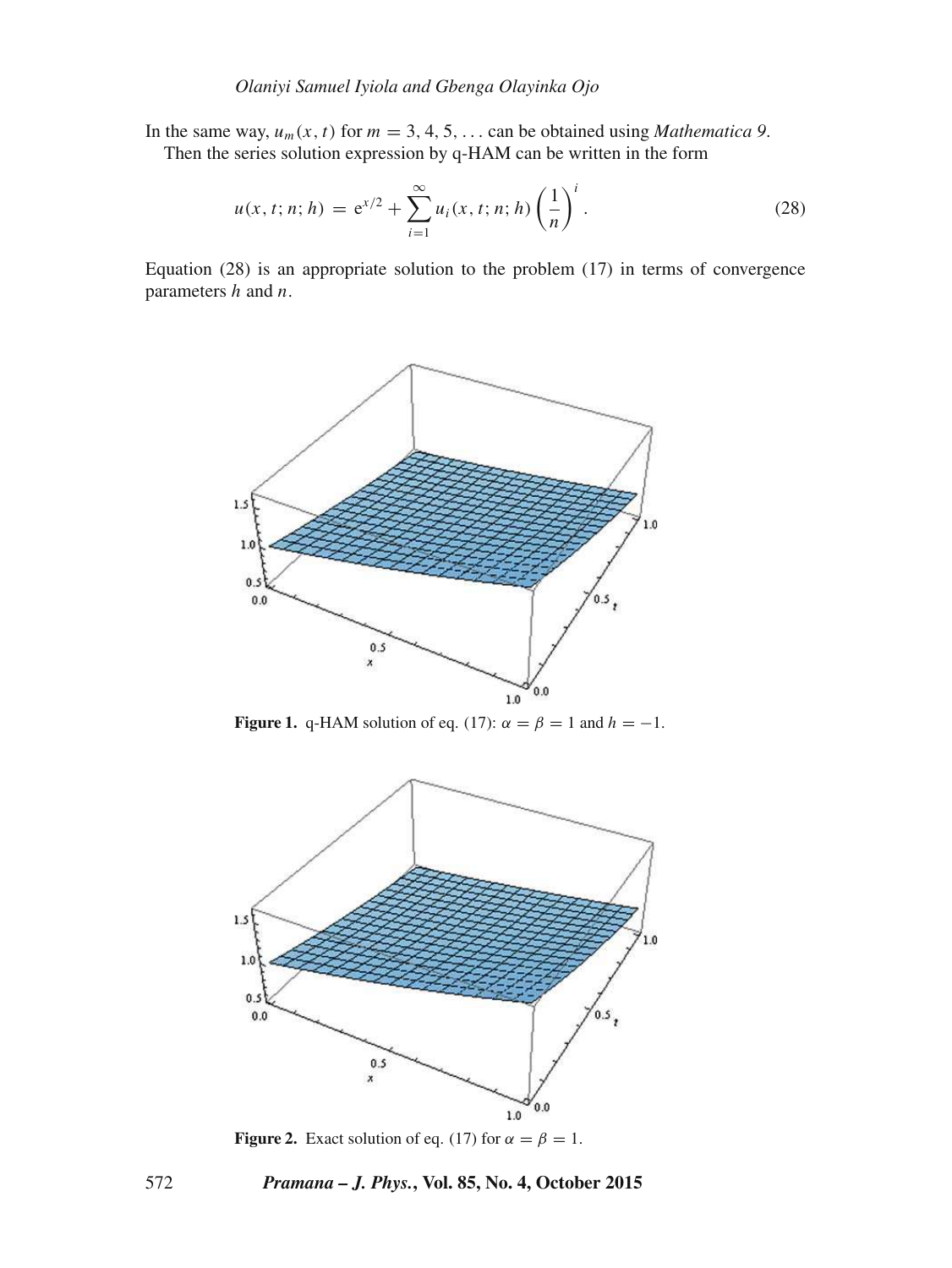In the same way,  $u_m(x, t)$  for  $m = 3, 4, 5, \ldots$  can be obtained using *Mathematica 9*.

Then the series solution expression by q-HAM can be written in the form

$$
u(x, t; n; h) = e^{x/2} + \sum_{i=1}^{\infty} u_i(x, t; n; h) \left(\frac{1}{n}\right)^i.
$$
 (28)

Equation (28) is an appropriate solution to the problem (17) in terms of convergence parameters  $h$  and  $n$ .



**Figure 1.** q-HAM solution of eq. (17):  $\alpha = \beta = 1$  and  $h = -1$ .



**Figure 2.** Exact solution of eq. (17) for  $\alpha = \beta = 1$ .

# 572 *Pramana – J. Phys.***, Vol. 85, No. 4, October 2015**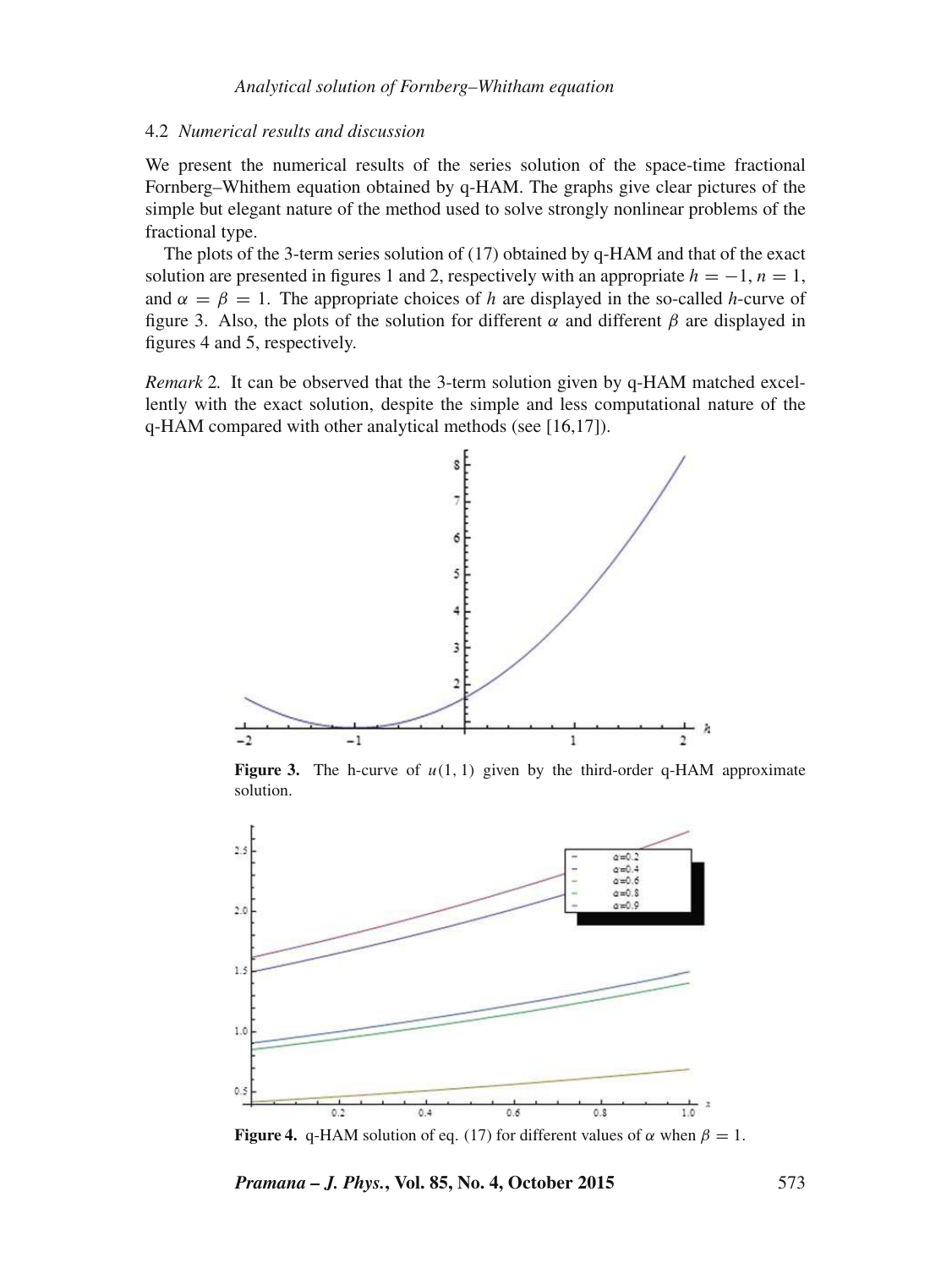#### 4.2 *Numerical results and discussion*

We present the numerical results of the series solution of the space-time fractional Fornberg–Whithem equation obtained by q-HAM. The graphs give clear pictures of the simple but elegant nature of the method used to solve strongly nonlinear problems of the fractional type.

The plots of the 3-term series solution of (17) obtained by q-HAM and that of the exact solution are presented in figures 1 and 2, respectively with an appropriate  $h = -1$ ,  $n = 1$ , and  $\alpha = \beta = 1$ . The appropriate choices of h are displayed in the so-called h-curve of figure 3. Also, the plots of the solution for different  $\alpha$  and different  $\beta$  are displayed in figures 4 and 5, respectively.

*Remark* 2*.* It can be observed that the 3-term solution given by q-HAM matched excellently with the exact solution, despite the simple and less computational nature of the q-HAM compared with other analytical methods (see [16,17]).



**Figure 3.** The h-curve of  $u(1, 1)$  given by the third-order q-HAM approximate solution.



**Figure 4.** q-HAM solution of eq. (17) for different values of  $\alpha$  when  $\beta = 1$ .

*Pramana – J. Phys.***, Vol. 85, No. 4, October 2015** 573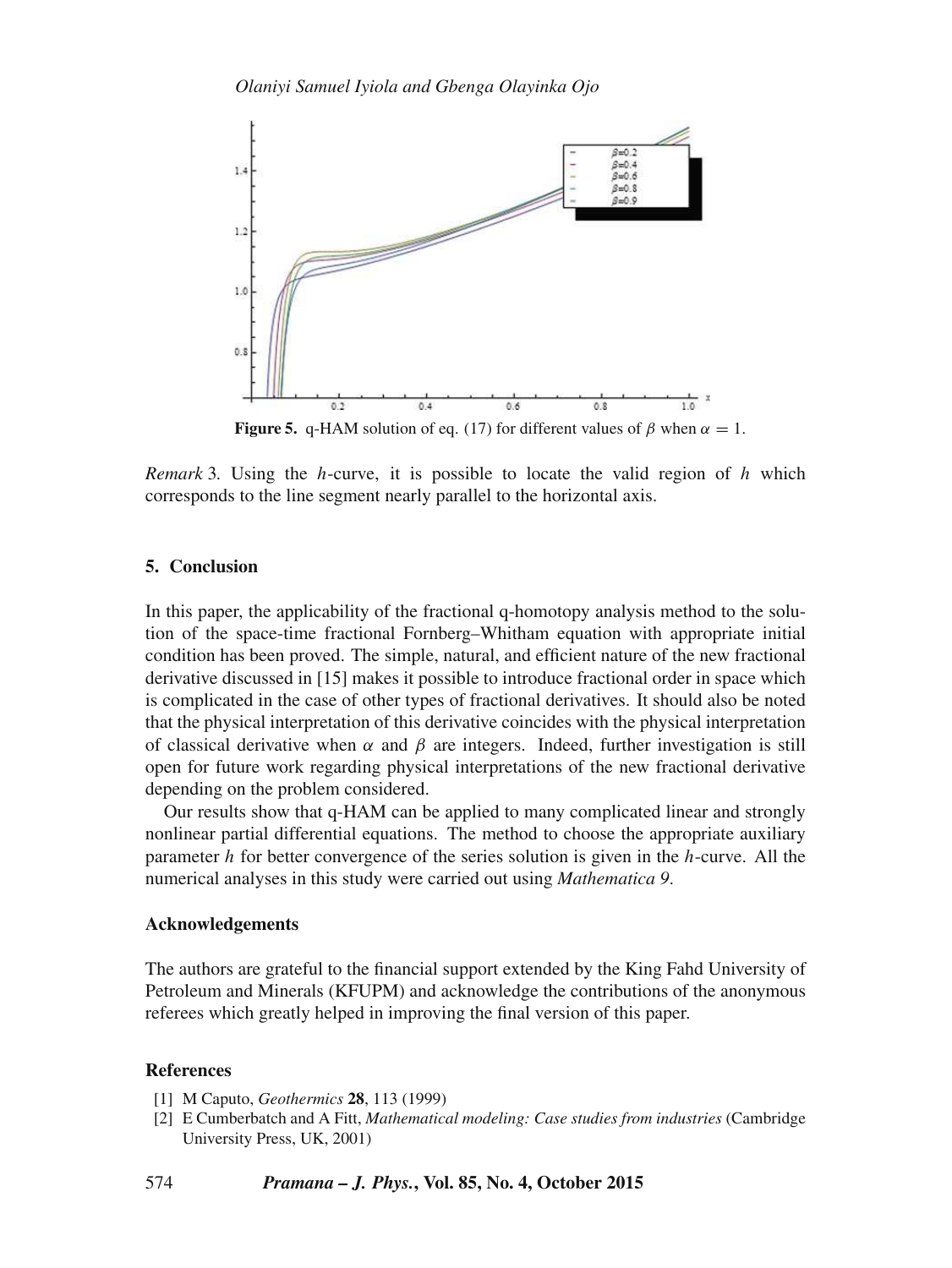

*Remark* 3*.* Using the h-curve, it is possible to locate the valid region of h which corresponds to the line segment nearly parallel to the horizontal axis.

#### **5. Conclusion**

In this paper, the applicability of the fractional q-homotopy analysis method to the solution of the space-time fractional Fornberg–Whitham equation with appropriate initial condition has been proved. The simple, natural, and efficient nature of the new fractional derivative discussed in [15] makes it possible to introduce fractional order in space which is complicated in the case of other types of fractional derivatives. It should also be noted that the physical interpretation of this derivative coincides with the physical interpretation of classical derivative when  $\alpha$  and  $\beta$  are integers. Indeed, further investigation is still open for future work regarding physical interpretations of the new fractional derivative depending on the problem considered.

Our results show that q-HAM can be applied to many complicated linear and strongly nonlinear partial differential equations. The method to choose the appropriate auxiliary parameter h for better convergence of the series solution is given in the h-curve. All the numerical analyses in this study were carried out using *Mathematica 9*.

# **Acknowledgements**

The authors are grateful to the financial support extended by the King Fahd University of Petroleum and Minerals (KFUPM) and acknowledge the contributions of the anonymous referees which greatly helped in improving the final version of this paper.

# **References**

- [1] M Caputo, *Geothermics* **28**, 113 (1999)
- [2] E Cumberbatch and A Fitt, *Mathematical modeling: Case studies from industries* (Cambridge University Press, UK, 2001)